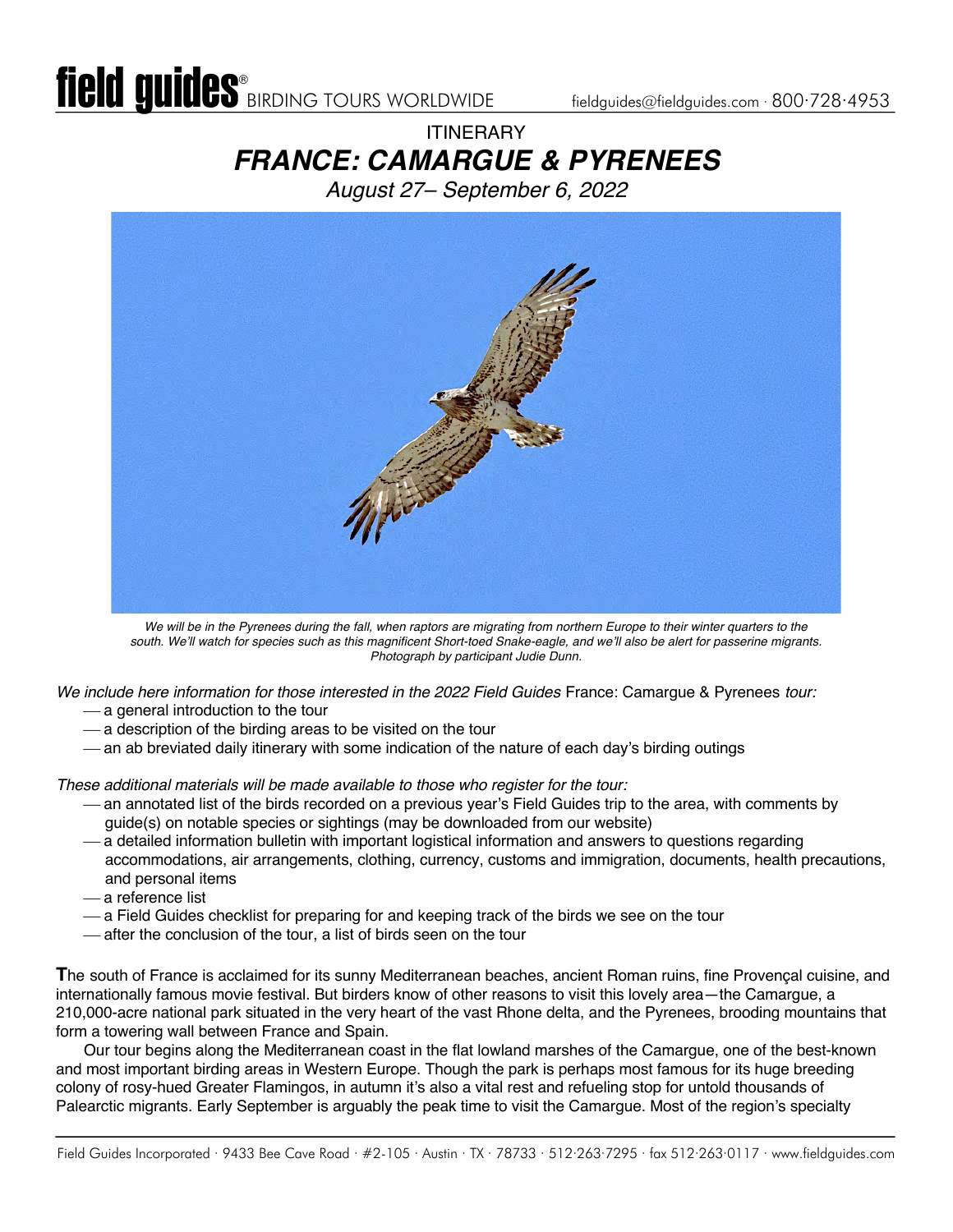# **ITINFRARY** *FRANCE: CAMARGUE & PYRENEES*

*August 27– September 6, 2022*



We will be in the Pyrenees during the fall, when raptors are migrating from northern Europe to their winter quarters to the *south. We'll watch for species such as this magnificent Short-toed Snake-eagle, and we'll also be alert for passerine migrants. Photograph by participant Judie Dunn.*

*We include here information for those interested in the 2022 Field Guides* France: Camargue & Pyrenees *tour:*

- $-$  a general introduction to the tour
- $-$  a description of the birding areas to be visited on the tour
- an ab breviated daily itinerary with some indication of the nature of each day's birding outings

*These additional materials will be made available to those who register for the tour:*

- ¾ an annotated list of the birds recorded on a previous year's Field Guides trip to the area, with comments by guide(s) on notable species or sightings (may be downloaded from our website)
- ¾ a detailed information bulletin with important logistical information and answers to questions regarding accommodations, air arrangements, clothing, currency, customs and immigration, documents, health precautions, and personal items
- -a reference list
- ¾ a Field Guides checklist for preparing for and keeping track of the birds we see on the tour
- ¾ after the conclusion of the tour, a list of birds seen on the tour

**T**he south of France is acclaimed for its sunny Mediterranean beaches, ancient Roman ruins, fine Provençal cuisine, and internationally famous movie festival. But birders know of other reasons to visit this lovely area—the Camargue, a 210,000-acre national park situated in the very heart of the vast Rhone delta, and the Pyrenees, brooding mountains that form a towering wall between France and Spain.

Our tour begins along the Mediterranean coast in the flat lowland marshes of the Camargue, one of the best-known and most important birding areas in Western Europe. Though the park is perhaps most famous for its huge breeding colony of rosy-hued Greater Flamingos, in autumn it's also a vital rest and refueling stop for untold thousands of Palearctic migrants. Early September is arguably the peak time to visit the Camargue. Most of the region's specialty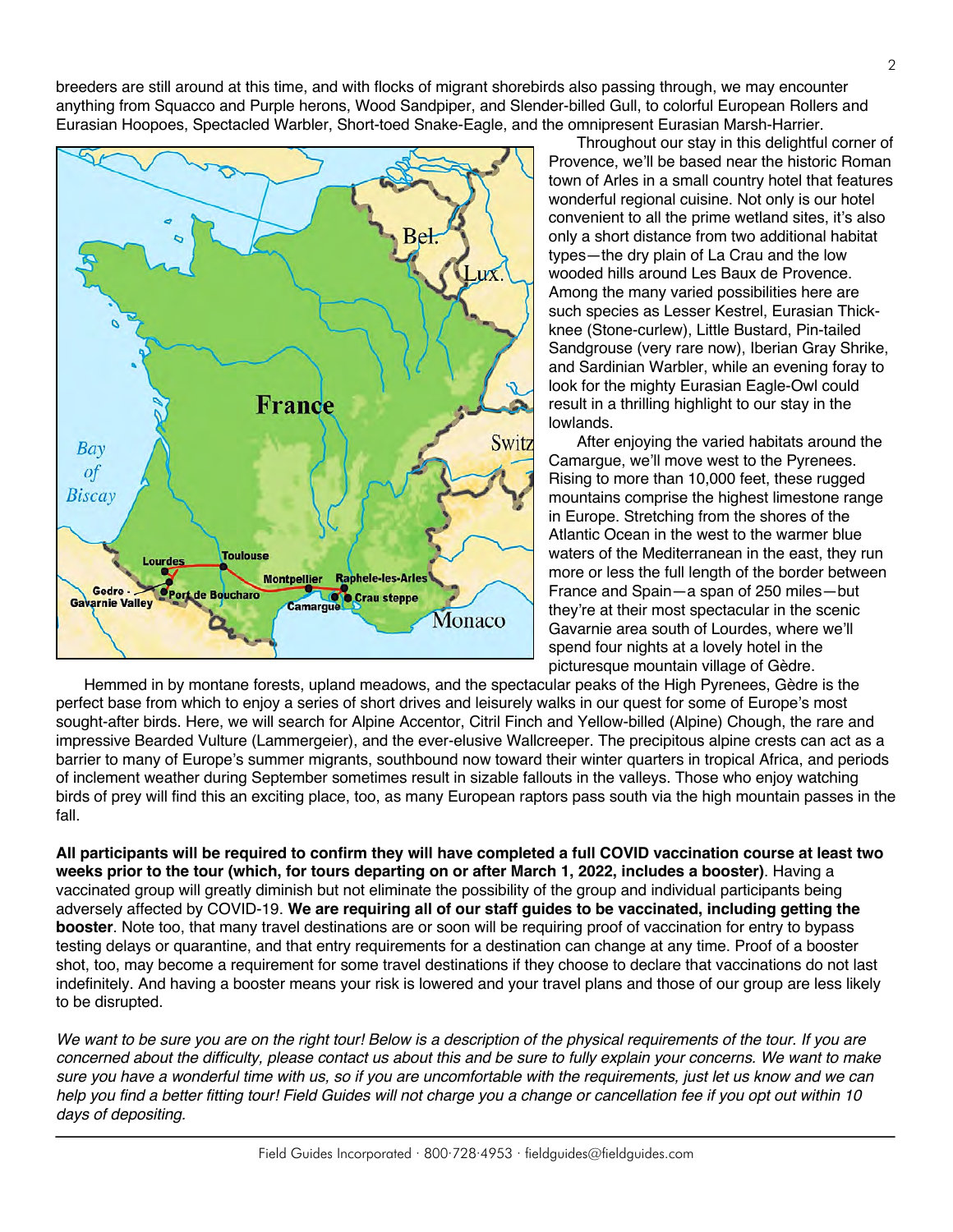breeders are still around at this time, and with flocks of migrant shorebirds also passing through, we may encounter anything from Squacco and Purple herons, Wood Sandpiper, and Slender-billed Gull, to colorful European Rollers and Eurasian Hoopoes, Spectacled Warbler, Short-toed Snake-Eagle, and the omnipresent Eurasian Marsh-Harrier.

![](_page_1_Figure_1.jpeg)

Throughout our stay in this delightful corner of Provence, we'll be based near the historic Roman town of Arles in a small country hotel that features wonderful regional cuisine. Not only is our hotel convenient to all the prime wetland sites, it's also only a short distance from two additional habitat types—the dry plain of La Crau and the low wooded hills around Les Baux de Provence. Among the many varied possibilities here are such species as Lesser Kestrel, Eurasian Thickknee (Stone-curlew), Little Bustard, Pin-tailed Sandgrouse (very rare now), Iberian Gray Shrike, and Sardinian Warbler, while an evening foray to look for the mighty Eurasian Eagle-Owl could result in a thrilling highlight to our stay in the lowlands.

After enjoying the varied habitats around the Camargue, we'll move west to the Pyrenees. Rising to more than 10,000 feet, these rugged mountains comprise the highest limestone range in Europe. Stretching from the shores of the Atlantic Ocean in the west to the warmer blue waters of the Mediterranean in the east, they run more or less the full length of the border between France and Spain—a span of 250 miles—but they're at their most spectacular in the scenic Gavarnie area south of Lourdes, where we'll spend four nights at a lovely hotel in the picturesque mountain village of Gèdre.

Hemmed in by montane forests, upland meadows, and the spectacular peaks of the High Pyrenees, Gèdre is the perfect base from which to enjoy a series of short drives and leisurely walks in our quest for some of Europe's most sought-after birds. Here, we will search for Alpine Accentor, Citril Finch and Yellow-billed (Alpine) Chough, the rare and impressive Bearded Vulture (Lammergeier), and the ever-elusive Wallcreeper. The precipitous alpine crests can act as a barrier to many of Europe's summer migrants, southbound now toward their winter quarters in tropical Africa, and periods of inclement weather during September sometimes result in sizable fallouts in the valleys. Those who enjoy watching birds of prey will find this an exciting place, too, as many European raptors pass south via the high mountain passes in the fall.

**All participants will be required to confirm they will have completed a full COVID vaccination course at least two weeks prior to the tour (which, for tours departing on or after March 1, 2022, includes a booster)**. Having a vaccinated group will greatly diminish but not eliminate the possibility of the group and individual participants being adversely affected by COVID-19. **We are requiring all of our staff guides to be vaccinated, including getting the booster**. Note too, that many travel destinations are or soon will be requiring proof of vaccination for entry to bypass testing delays or quarantine, and that entry requirements for a destination can change at any time. Proof of a booster shot, too, may become a requirement for some travel destinations if they choose to declare that vaccinations do not last indefinitely. And having a booster means your risk is lowered and your travel plans and those of our group are less likely to be disrupted.

*We want to be sure you are on the right tour! Below is a description of the physical requirements of the tour. If you are concerned about the difficulty, please contact us about this and be sure to fully explain your concerns. We want to make sure you have a wonderful time with us, so if you are uncomfortable with the requirements, just let us know and we can help you find a better fitting tour! Field Guides will not charge you a change or cancellation fee if you opt out within 10 days of depositing.*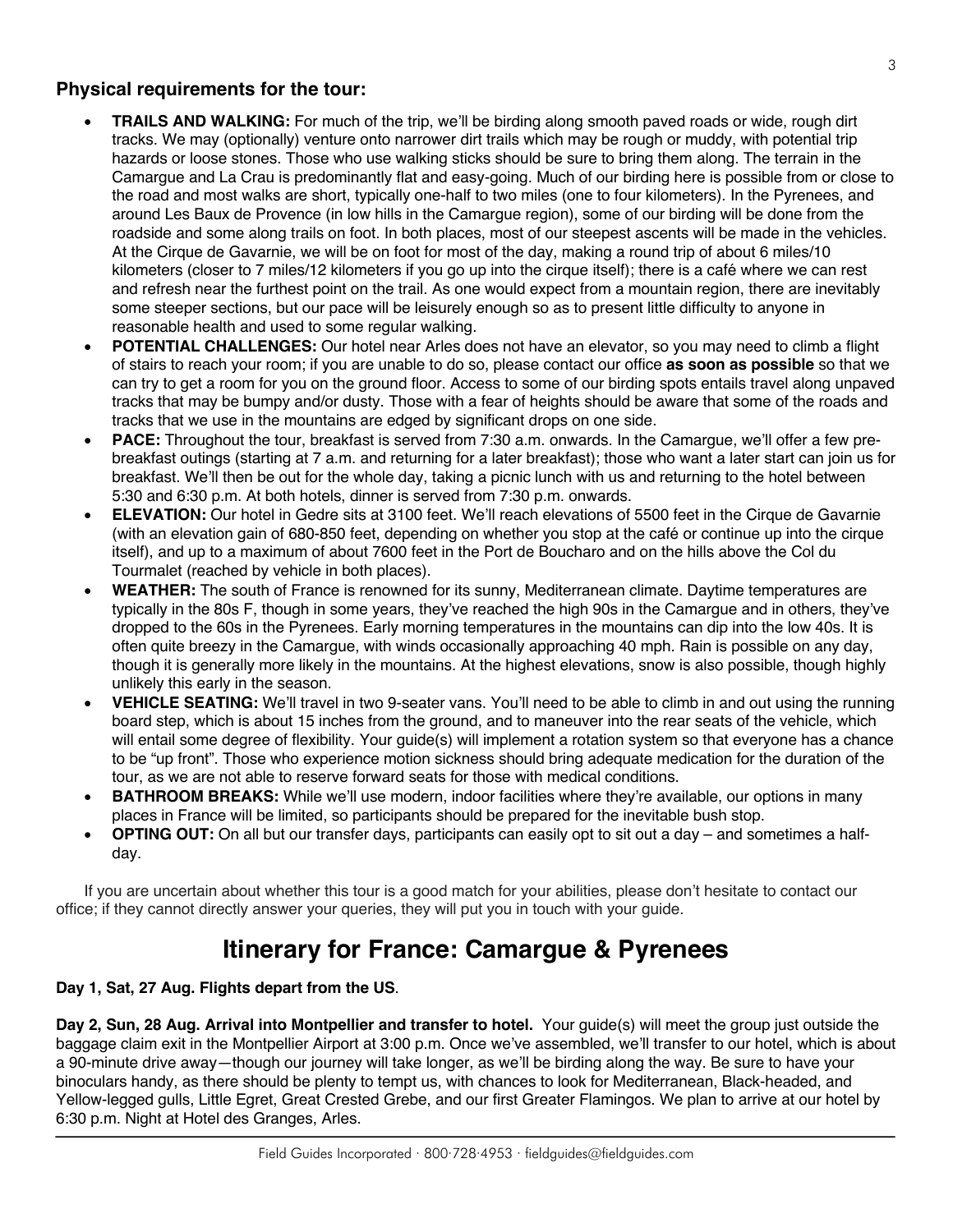#### **Physical requirements for the tour:**

- **TRAILS AND WALKING:** For much of the trip, we'll be birding along smooth paved roads or wide, rough dirt tracks. We may (optionally) venture onto narrower dirt trails which may be rough or muddy, with potential trip hazards or loose stones. Those who use walking sticks should be sure to bring them along. The terrain in the Camargue and La Crau is predominantly flat and easy-going. Much of our birding here is possible from or close to the road and most walks are short, typically one-half to two miles (one to four kilometers). In the Pyrenees, and around Les Baux de Provence (in low hills in the Camargue region), some of our birding will be done from the roadside and some along trails on foot. In both places, most of our steepest ascents will be made in the vehicles. At the Cirque de Gavarnie, we will be on foot for most of the day, making a round trip of about 6 miles/10 kilometers (closer to 7 miles/12 kilometers if you go up into the cirque itself); there is a café where we can rest and refresh near the furthest point on the trail. As one would expect from a mountain region, there are inevitably some steeper sections, but our pace will be leisurely enough so as to present little difficulty to anyone in reasonable health and used to some regular walking.
- **POTENTIAL CHALLENGES:** Our hotel near Arles does not have an elevator, so you may need to climb a flight of stairs to reach your room; if you are unable to do so, please contact our office **as soon as possible** so that we can try to get a room for you on the ground floor. Access to some of our birding spots entails travel along unpaved tracks that may be bumpy and/or dusty. Those with a fear of heights should be aware that some of the roads and tracks that we use in the mountains are edged by significant drops on one side.
- **PACE:** Throughout the tour, breakfast is served from 7:30 a.m. onwards. In the Camargue, we'll offer a few prebreakfast outings (starting at 7 a.m. and returning for a later breakfast); those who want a later start can join us for breakfast. We'll then be out for the whole day, taking a picnic lunch with us and returning to the hotel between 5:30 and 6:30 p.m. At both hotels, dinner is served from 7:30 p.m. onwards.
- **ELEVATION:** Our hotel in Gedre sits at 3100 feet. We'll reach elevations of 5500 feet in the Cirque de Gavarnie (with an elevation gain of 680-850 feet, depending on whether you stop at the café or continue up into the cirque itself), and up to a maximum of about 7600 feet in the Port de Boucharo and on the hills above the Col du Tourmalet (reached by vehicle in both places).
- **WEATHER:** The south of France is renowned for its sunny, Mediterranean climate. Daytime temperatures are typically in the 80s F, though in some years, they've reached the high 90s in the Camargue and in others, they've dropped to the 60s in the Pyrenees. Early morning temperatures in the mountains can dip into the low 40s. It is often quite breezy in the Camargue, with winds occasionally approaching 40 mph. Rain is possible on any day, though it is generally more likely in the mountains. At the highest elevations, snow is also possible, though highly unlikely this early in the season.
- **VEHICLE SEATING:** We'll travel in two 9-seater vans. You'll need to be able to climb in and out using the running board step, which is about 15 inches from the ground, and to maneuver into the rear seats of the vehicle, which will entail some degree of flexibility. Your guide(s) will implement a rotation system so that everyone has a chance to be "up front". Those who experience motion sickness should bring adequate medication for the duration of the tour, as we are not able to reserve forward seats for those with medical conditions.
- **BATHROOM BREAKS:** While we'll use modern, indoor facilities where they're available, our options in many places in France will be limited, so participants should be prepared for the inevitable bush stop.
- **OPTING OUT:** On all but our transfer days, participants can easily opt to sit out a day and sometimes a halfday.

If you are uncertain about whether this tour is a good match for your abilities, please don't hesitate to contact our office; if they cannot directly answer your queries, they will put you in touch with your guide.

### **Itinerary for France: Camargue & Pyrenees**

#### **Day 1, Sat, 27 Aug. Flights depart from the US**.

**Day 2, Sun, 28 Aug. Arrival into Montpellier and transfer to hotel.** Your guide(s) will meet the group just outside the baggage claim exit in the Montpellier Airport at 3:00 p.m. Once we've assembled, we'll transfer to our hotel, which is about a 90-minute drive away—though our journey will take longer, as we'll be birding along the way. Be sure to have your binoculars handy, as there should be plenty to tempt us, with chances to look for Mediterranean, Black-headed, and Yellow-legged gulls, Little Egret, Great Crested Grebe, and our first Greater Flamingos. We plan to arrive at our hotel by 6:30 p.m. Night at Hotel des Granges, Arles.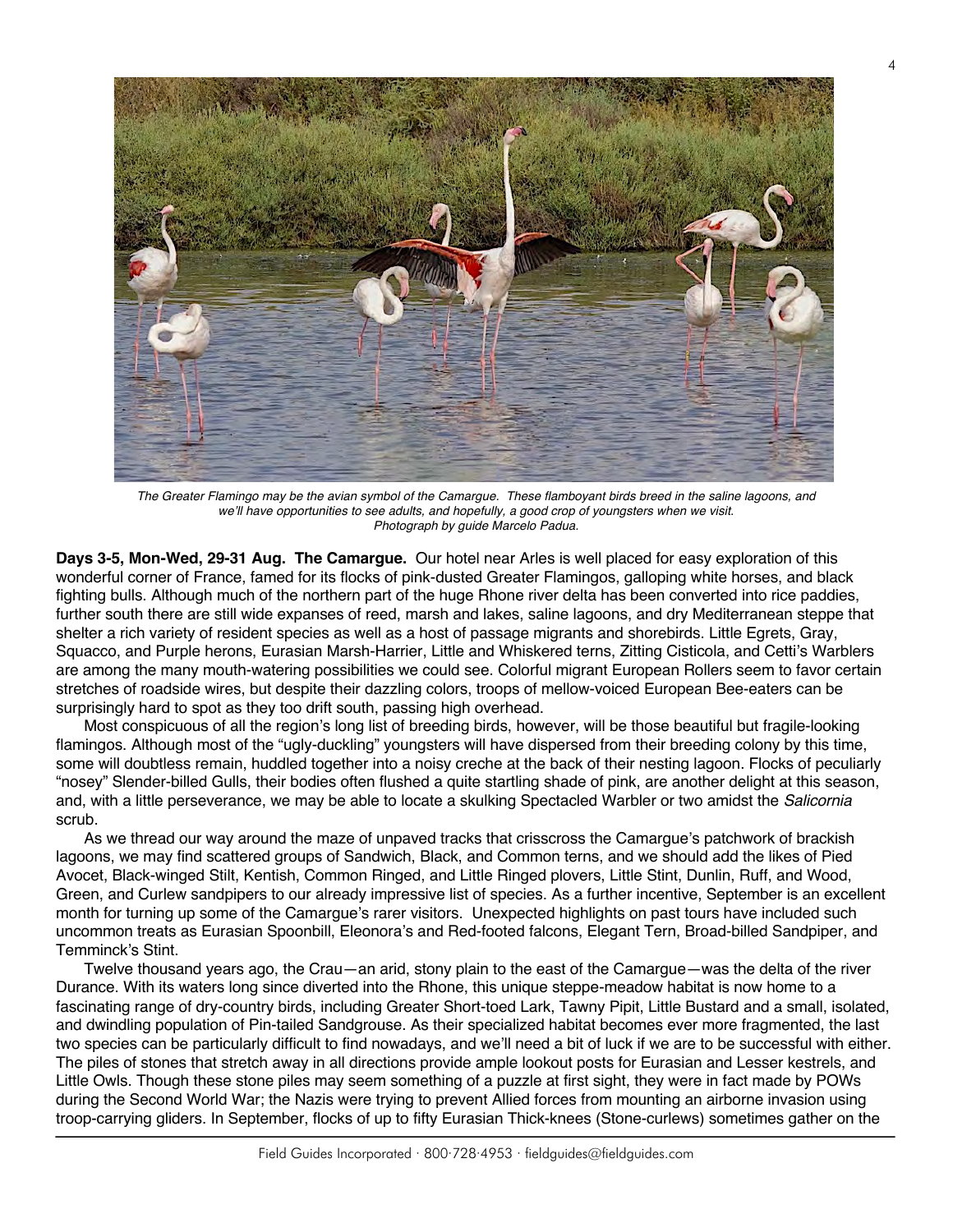![](_page_3_Picture_0.jpeg)

*The Greater Flamingo may be the avian symbol of the Camargue. These flamboyant birds breed in the saline lagoons, and we'll have opportunities to see adults, and hopefully, a good crop of youngsters when we visit. Photograph by guide Marcelo Padua.*

**Days 3-5, Mon-Wed, 29-31 Aug. The Camargue.** Our hotel near Arles is well placed for easy exploration of this wonderful corner of France, famed for its flocks of pink-dusted Greater Flamingos, galloping white horses, and black fighting bulls. Although much of the northern part of the huge Rhone river delta has been converted into rice paddies, further south there are still wide expanses of reed, marsh and lakes, saline lagoons, and dry Mediterranean steppe that shelter a rich variety of resident species as well as a host of passage migrants and shorebirds. Little Egrets, Gray, Squacco, and Purple herons, Eurasian Marsh-Harrier, Little and Whiskered terns, Zitting Cisticola, and Cetti's Warblers are among the many mouth-watering possibilities we could see. Colorful migrant European Rollers seem to favor certain stretches of roadside wires, but despite their dazzling colors, troops of mellow-voiced European Bee-eaters can be surprisingly hard to spot as they too drift south, passing high overhead.

Most conspicuous of all the region's long list of breeding birds, however, will be those beautiful but fragile-looking flamingos. Although most of the "ugly-duckling" youngsters will have dispersed from their breeding colony by this time, some will doubtless remain, huddled together into a noisy creche at the back of their nesting lagoon. Flocks of peculiarly "nosey" Slender-billed Gulls, their bodies often flushed a quite startling shade of pink, are another delight at this season, and, with a little perseverance, we may be able to locate a skulking Spectacled Warbler or two amidst the *Salicornia* scrub.

As we thread our way around the maze of unpaved tracks that crisscross the Camargue's patchwork of brackish lagoons, we may find scattered groups of Sandwich, Black, and Common terns, and we should add the likes of Pied Avocet, Black-winged Stilt, Kentish, Common Ringed, and Little Ringed plovers, Little Stint, Dunlin, Ruff, and Wood, Green, and Curlew sandpipers to our already impressive list of species. As a further incentive, September is an excellent month for turning up some of the Camargue's rarer visitors. Unexpected highlights on past tours have included such uncommon treats as Eurasian Spoonbill, Eleonora's and Red-footed falcons, Elegant Tern, Broad-billed Sandpiper, and Temminck's Stint.

Twelve thousand years ago, the Crau—an arid, stony plain to the east of the Camargue—was the delta of the river Durance. With its waters long since diverted into the Rhone, this unique steppe-meadow habitat is now home to a fascinating range of dry-country birds, including Greater Short-toed Lark, Tawny Pipit, Little Bustard and a small, isolated, and dwindling population of Pin-tailed Sandgrouse. As their specialized habitat becomes ever more fragmented, the last two species can be particularly difficult to find nowadays, and we'll need a bit of luck if we are to be successful with either. The piles of stones that stretch away in all directions provide ample lookout posts for Eurasian and Lesser kestrels, and Little Owls. Though these stone piles may seem something of a puzzle at first sight, they were in fact made by POWs during the Second World War; the Nazis were trying to prevent Allied forces from mounting an airborne invasion using troop-carrying gliders. In September, flocks of up to fifty Eurasian Thick-knees (Stone-curlews) sometimes gather on the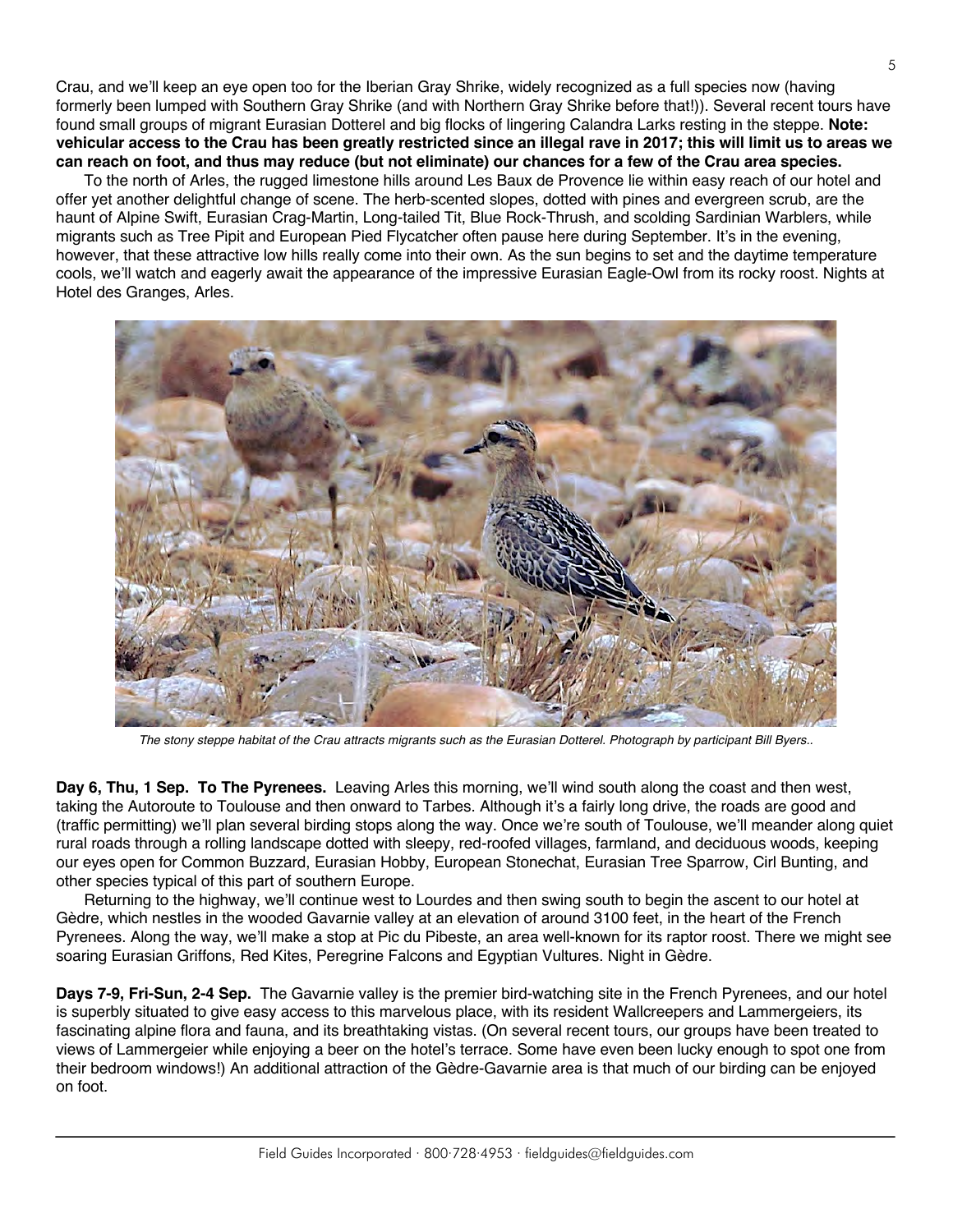Crau, and we'll keep an eye open too for the Iberian Gray Shrike, widely recognized as a full species now (having formerly been lumped with Southern Gray Shrike (and with Northern Gray Shrike before that!)). Several recent tours have found small groups of migrant Eurasian Dotterel and big flocks of lingering Calandra Larks resting in the steppe. **Note: vehicular access to the Crau has been greatly restricted since an illegal rave in 2017; this will limit us to areas we can reach on foot, and thus may reduce (but not eliminate) our chances for a few of the Crau area species.**

To the north of Arles, the rugged limestone hills around Les Baux de Provence lie within easy reach of our hotel and offer yet another delightful change of scene. The herb-scented slopes, dotted with pines and evergreen scrub, are the haunt of Alpine Swift, Eurasian Crag-Martin, Long-tailed Tit, Blue Rock-Thrush, and scolding Sardinian Warblers, while migrants such as Tree Pipit and European Pied Flycatcher often pause here during September. It's in the evening, however, that these attractive low hills really come into their own. As the sun begins to set and the daytime temperature cools, we'll watch and eagerly await the appearance of the impressive Eurasian Eagle-Owl from its rocky roost. Nights at Hotel des Granges, Arles.

![](_page_4_Picture_2.jpeg)

*The stony steppe habitat of the Crau attracts migrants such as the Eurasian Dotterel. Photograph by participant Bill Byers..*

**Day 6, Thu, 1 Sep. To The Pyrenees.** Leaving Arles this morning, we'll wind south along the coast and then west, taking the Autoroute to Toulouse and then onward to Tarbes. Although it's a fairly long drive, the roads are good and (traffic permitting) we'll plan several birding stops along the way. Once we're south of Toulouse, we'll meander along quiet rural roads through a rolling landscape dotted with sleepy, red-roofed villages, farmland, and deciduous woods, keeping our eyes open for Common Buzzard, Eurasian Hobby, European Stonechat, Eurasian Tree Sparrow, Cirl Bunting, and other species typical of this part of southern Europe.

Returning to the highway, we'll continue west to Lourdes and then swing south to begin the ascent to our hotel at Gèdre, which nestles in the wooded Gavarnie valley at an elevation of around 3100 feet, in the heart of the French Pyrenees. Along the way, we'll make a stop at Pic du Pibeste, an area well-known for its raptor roost. There we might see soaring Eurasian Griffons, Red Kites, Peregrine Falcons and Egyptian Vultures. Night in Gèdre.

**Days 7-9, Fri-Sun, 2-4 Sep.** The Gavarnie valley is the premier bird-watching site in the French Pyrenees, and our hotel is superbly situated to give easy access to this marvelous place, with its resident Wallcreepers and Lammergeiers, its fascinating alpine flora and fauna, and its breathtaking vistas. (On several recent tours, our groups have been treated to views of Lammergeier while enjoying a beer on the hotel's terrace. Some have even been lucky enough to spot one from their bedroom windows!) An additional attraction of the Gèdre-Gavarnie area is that much of our birding can be enjoyed on foot.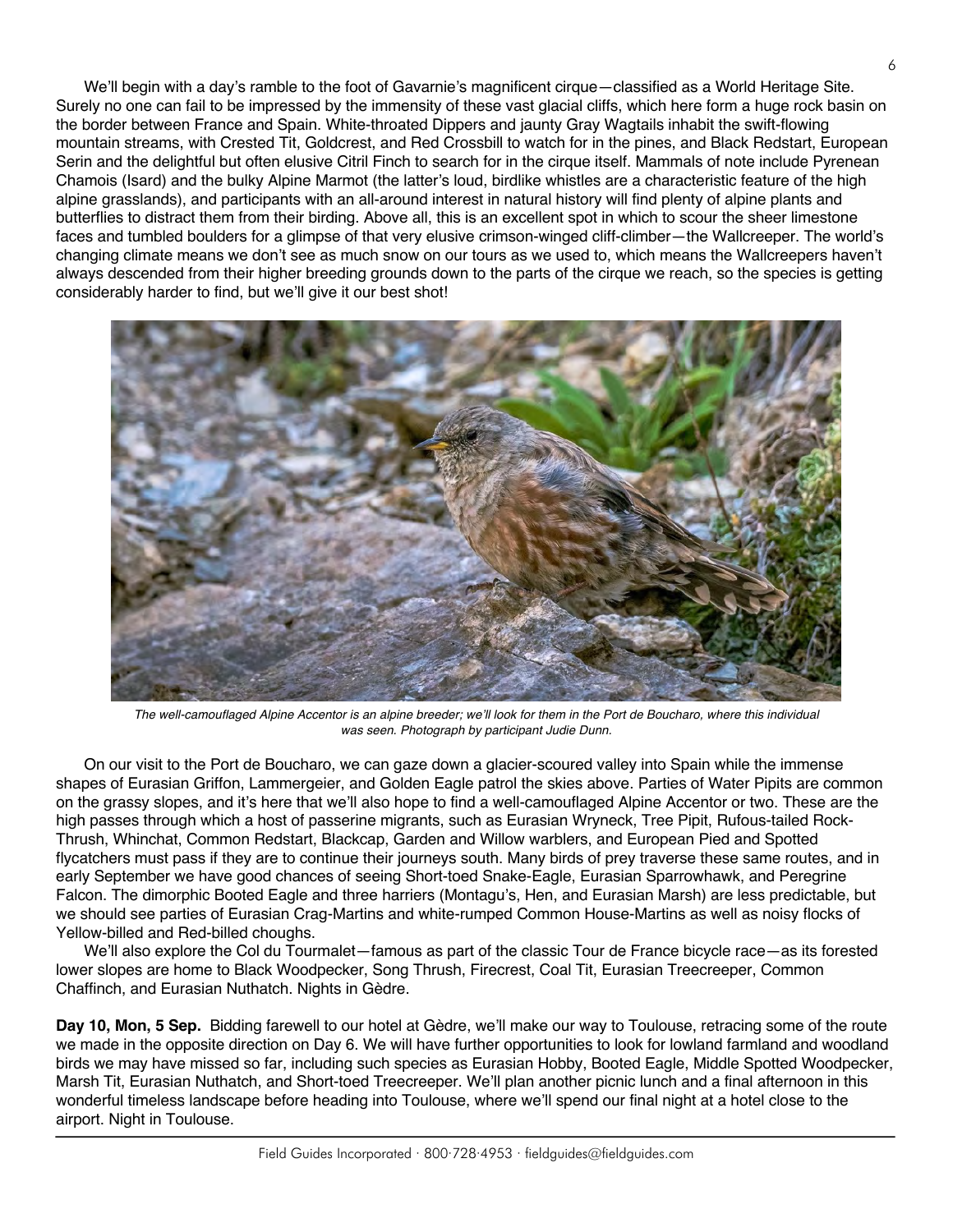We'll begin with a day's ramble to the foot of Gavarnie's magnificent cirque—classified as a World Heritage Site. Surely no one can fail to be impressed by the immensity of these vast glacial cliffs, which here form a huge rock basin on the border between France and Spain. White-throated Dippers and jaunty Gray Wagtails inhabit the swift-flowing mountain streams, with Crested Tit, Goldcrest, and Red Crossbill to watch for in the pines, and Black Redstart, European Serin and the delightful but often elusive Citril Finch to search for in the cirque itself. Mammals of note include Pyrenean Chamois (Isard) and the bulky Alpine Marmot (the latter's loud, birdlike whistles are a characteristic feature of the high alpine grasslands), and participants with an all-around interest in natural history will find plenty of alpine plants and butterflies to distract them from their birding. Above all, this is an excellent spot in which to scour the sheer limestone faces and tumbled boulders for a glimpse of that very elusive crimson-winged cliff-climber—the Wallcreeper. The world's changing climate means we don't see as much snow on our tours as we used to, which means the Wallcreepers haven't always descended from their higher breeding grounds down to the parts of the cirque we reach, so the species is getting considerably harder to find, but we'll give it our best shot!

![](_page_5_Picture_1.jpeg)

*The well-camouflaged Alpine Accentor is an alpine breeder; we'll look for them in the Port de Boucharo, where this individual was seen. Photograph by participant Judie Dunn.*

On our visit to the Port de Boucharo, we can gaze down a glacier-scoured valley into Spain while the immense shapes of Eurasian Griffon, Lammergeier, and Golden Eagle patrol the skies above. Parties of Water Pipits are common on the grassy slopes, and it's here that we'll also hope to find a well-camouflaged Alpine Accentor or two. These are the high passes through which a host of passerine migrants, such as Eurasian Wryneck, Tree Pipit, Rufous-tailed Rock-Thrush, Whinchat, Common Redstart, Blackcap, Garden and Willow warblers, and European Pied and Spotted flycatchers must pass if they are to continue their journeys south. Many birds of prey traverse these same routes, and in early September we have good chances of seeing Short-toed Snake-Eagle, Eurasian Sparrowhawk, and Peregrine Falcon. The dimorphic Booted Eagle and three harriers (Montagu's, Hen, and Eurasian Marsh) are less predictable, but we should see parties of Eurasian Crag-Martins and white-rumped Common House-Martins as well as noisy flocks of Yellow-billed and Red-billed choughs.

We'll also explore the Col du Tourmalet—famous as part of the classic Tour de France bicycle race—as its forested lower slopes are home to Black Woodpecker, Song Thrush, Firecrest, Coal Tit, Eurasian Treecreeper, Common Chaffinch, and Eurasian Nuthatch. Nights in Gèdre.

**Day 10, Mon, 5 Sep.** Bidding farewell to our hotel at Gèdre, we'll make our way to Toulouse, retracing some of the route we made in the opposite direction on Day 6. We will have further opportunities to look for lowland farmland and woodland birds we may have missed so far, including such species as Eurasian Hobby, Booted Eagle, Middle Spotted Woodpecker, Marsh Tit, Eurasian Nuthatch, and Short-toed Treecreeper. We'll plan another picnic lunch and a final afternoon in this wonderful timeless landscape before heading into Toulouse, where we'll spend our final night at a hotel close to the airport. Night in Toulouse.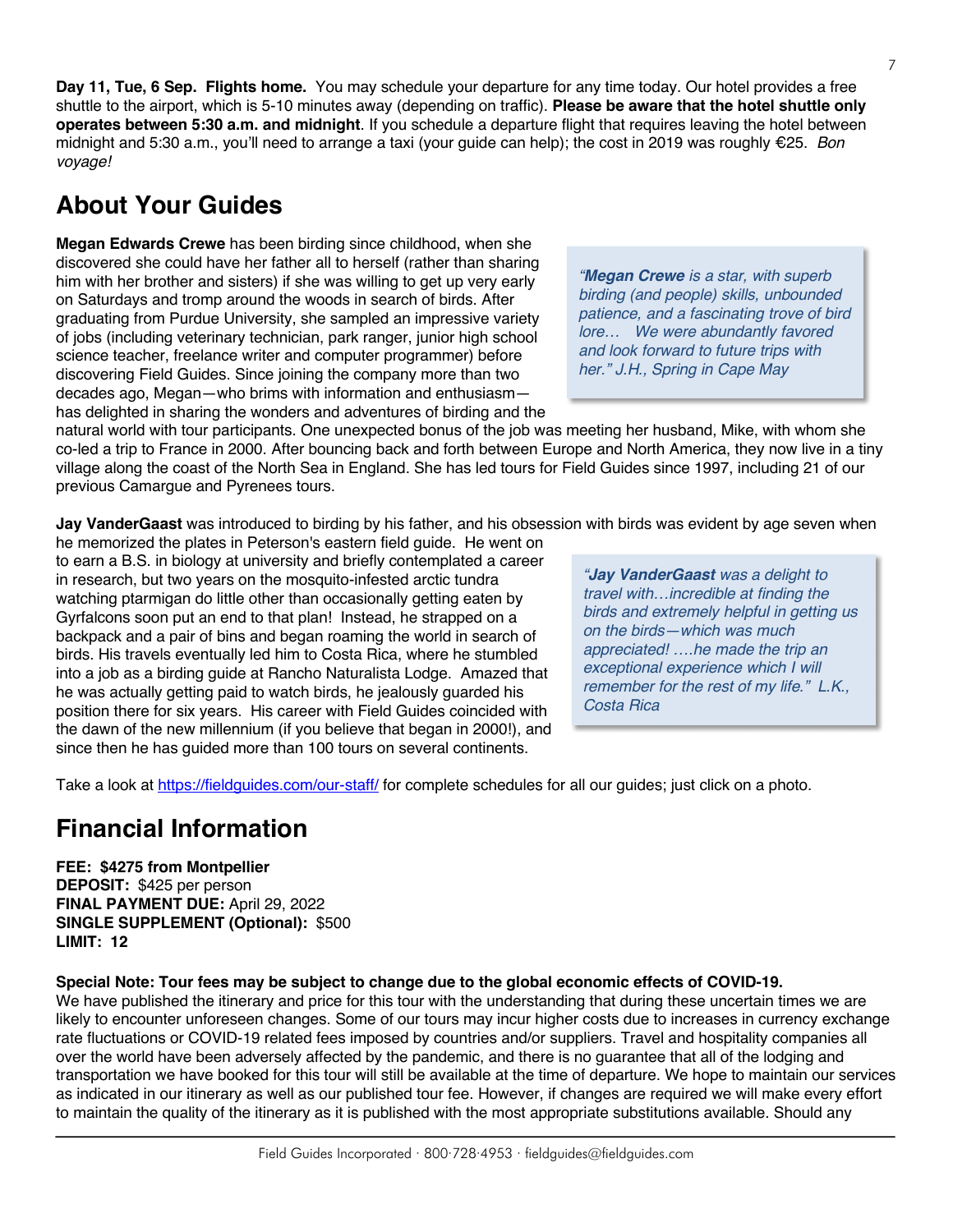**Day 11, Tue, 6 Sep. Flights home.** You may schedule your departure for any time today. Our hotel provides a free shuttle to the airport, which is 5-10 minutes away (depending on traffic). **Please be aware that the hotel shuttle only operates between 5:30 a.m. and midnight**. If you schedule a departure flight that requires leaving the hotel between midnight and 5:30 a.m., you'll need to arrange a taxi (your guide can help); the cost in 2019 was roughly €25. *Bon voyage!*

# **About Your Guides**

**Megan Edwards Crewe** has been birding since childhood, when she discovered she could have her father all to herself (rather than sharing him with her brother and sisters) if she was willing to get up very early on Saturdays and tromp around the woods in search of birds. After graduating from Purdue University, she sampled an impressive variety of jobs (including veterinary technician, park ranger, junior high school science teacher, freelance writer and computer programmer) before discovering Field Guides. Since joining the company more than two decades ago, Megan—who brims with information and enthusiasm has delighted in sharing the wonders and adventures of birding and the

*"Megan Crewe is a star, with superb birding (and people) skills, unbounded patience, and a fascinating trove of bird lore… We were abundantly favored and look forward to future trips with her." J.H., Spring in Cape May*

natural world with tour participants. One unexpected bonus of the job was meeting her husband, Mike, with whom she co-led a trip to France in 2000. After bouncing back and forth between Europe and North America, they now live in a tiny village along the coast of the North Sea in England. She has led tours for Field Guides since 1997, including 21 of our previous Camargue and Pyrenees tours.

**Jay VanderGaast** was introduced to birding by his father, and his obsession with birds was evident by age seven when

he memorized the plates in Peterson's eastern field guide. He went on to earn a B.S. in biology at university and briefly contemplated a career in research, but two years on the mosquito-infested arctic tundra watching ptarmigan do little other than occasionally getting eaten by Gyrfalcons soon put an end to that plan! Instead, he strapped on a backpack and a pair of bins and began roaming the world in search of birds. His travels eventually led him to Costa Rica, where he stumbled into a job as a birding guide at Rancho Naturalista Lodge. Amazed that he was actually getting paid to watch birds, he jealously guarded his position there for six years. His career with Field Guides coincided with the dawn of the new millennium (if you believe that began in 2000!), and since then he has guided more than 100 tours on several continents.

*"Jay VanderGaast was a delight to travel with…incredible at finding the birds and extremely helpful in getting us on the birds—which was much appreciated! ….he made the trip an exceptional experience which I will remember for the rest of my life." L.K., Costa Rica*

Take a look at https://fieldguides.com/our-staff/ for complete schedules for all our guides; just click on a photo.

## **Financial Information**

**FEE: \$4275 from Montpellier**

**DEPOSIT:** \$425 per person **FINAL PAYMENT DUE:** April 29, 2022 **SINGLE SUPPLEMENT (Optional):** \$500 **LIMIT: 12**

**Special Note: Tour fees may be subject to change due to the global economic effects of COVID-19.**

We have published the itinerary and price for this tour with the understanding that during these uncertain times we are likely to encounter unforeseen changes. Some of our tours may incur higher costs due to increases in currency exchange rate fluctuations or COVID-19 related fees imposed by countries and/or suppliers. Travel and hospitality companies all over the world have been adversely affected by the pandemic, and there is no guarantee that all of the lodging and transportation we have booked for this tour will still be available at the time of departure. We hope to maintain our services as indicated in our itinerary as well as our published tour fee. However, if changes are required we will make every effort to maintain the quality of the itinerary as it is published with the most appropriate substitutions available. Should any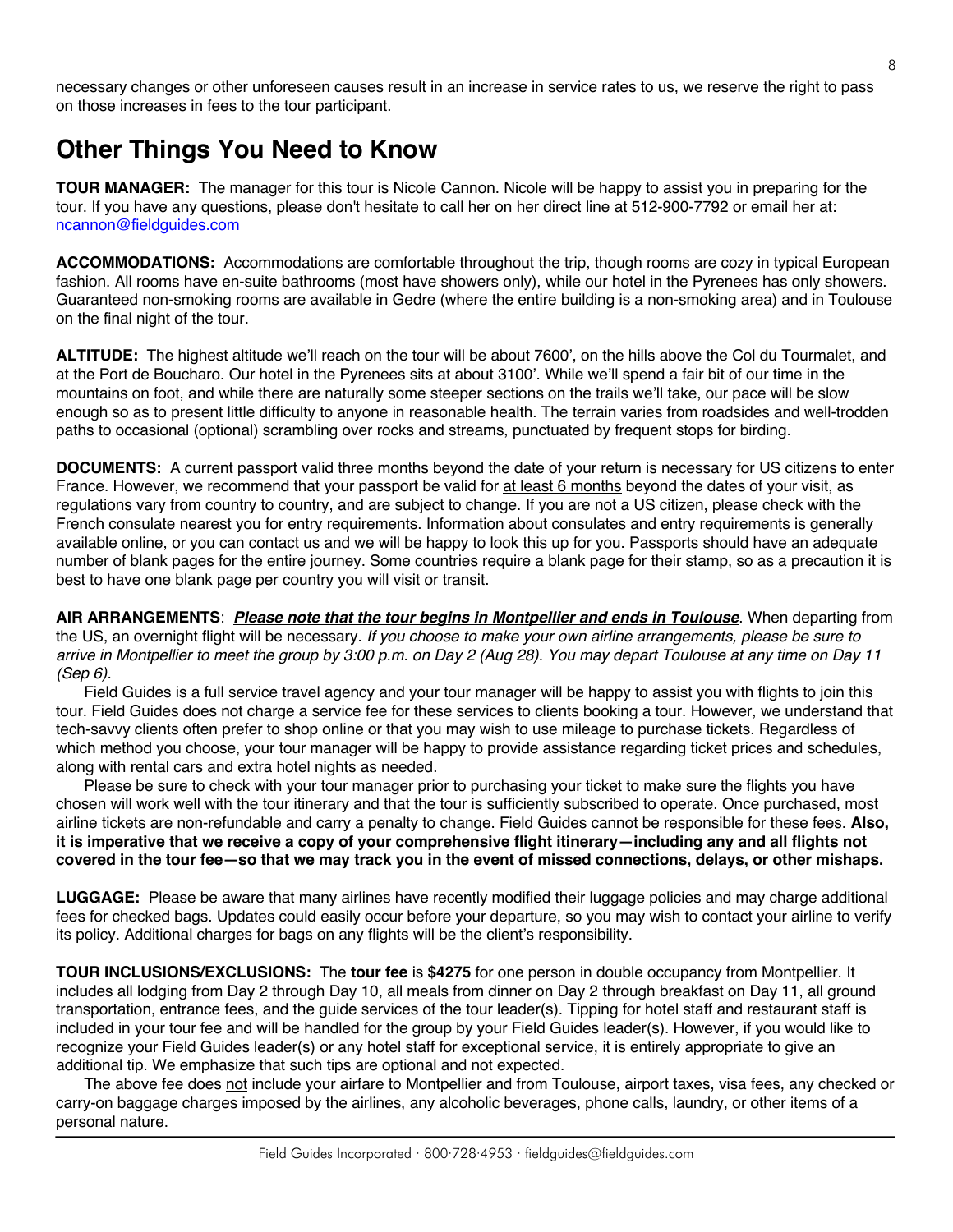necessary changes or other unforeseen causes result in an increase in service rates to us, we reserve the right to pass on those increases in fees to the tour participant.

### **Other Things You Need to Know**

**TOUR MANAGER:** The manager for this tour is Nicole Cannon. Nicole will be happy to assist you in preparing for the tour. If you have any questions, please don't hesitate to call her on her direct line at 512-900-7792 or email her at: ncannon@fieldguides.com

**ACCOMMODATIONS:** Accommodations are comfortable throughout the trip, though rooms are cozy in typical European fashion. All rooms have en-suite bathrooms (most have showers only), while our hotel in the Pyrenees has only showers. Guaranteed non-smoking rooms are available in Gedre (where the entire building is a non-smoking area) and in Toulouse on the final night of the tour.

**ALTITUDE:** The highest altitude we'll reach on the tour will be about 7600', on the hills above the Col du Tourmalet, and at the Port de Boucharo. Our hotel in the Pyrenees sits at about 3100'. While we'll spend a fair bit of our time in the mountains on foot, and while there are naturally some steeper sections on the trails we'll take, our pace will be slow enough so as to present little difficulty to anyone in reasonable health. The terrain varies from roadsides and well-trodden paths to occasional (optional) scrambling over rocks and streams, punctuated by frequent stops for birding.

**DOCUMENTS:** A current passport valid three months beyond the date of your return is necessary for US citizens to enter France. However, we recommend that your passport be valid for at least 6 months beyond the dates of your visit, as regulations vary from country to country, and are subject to change. If you are not a US citizen, please check with the French consulate nearest you for entry requirements. Information about consulates and entry requirements is generally available online, or you can contact us and we will be happy to look this up for you. Passports should have an adequate number of blank pages for the entire journey. Some countries require a blank page for their stamp, so as a precaution it is best to have one blank page per country you will visit or transit.

**AIR ARRANGEMENTS**: *Please note that the tour begins in Montpellier and ends in Toulouse*. When departing from the US, an overnight flight will be necessary. *If you choose to make your own airline arrangements, please be sure to arrive in Montpellier to meet the group by 3:00 p.m. on Day 2 (Aug 28). You may depart Toulouse at any time on Day 11 (Sep 6).*

Field Guides is a full service travel agency and your tour manager will be happy to assist you with flights to join this tour. Field Guides does not charge a service fee for these services to clients booking a tour. However, we understand that tech-savvy clients often prefer to shop online or that you may wish to use mileage to purchase tickets. Regardless of which method you choose, your tour manager will be happy to provide assistance regarding ticket prices and schedules, along with rental cars and extra hotel nights as needed.

Please be sure to check with your tour manager prior to purchasing your ticket to make sure the flights you have chosen will work well with the tour itinerary and that the tour is sufficiently subscribed to operate. Once purchased, most airline tickets are non-refundable and carry a penalty to change. Field Guides cannot be responsible for these fees. **Also, it is imperative that we receive a copy of your comprehensive flight itinerary—including any and all flights not covered in the tour fee—so that we may track you in the event of missed connections, delays, or other mishaps.**

**LUGGAGE:** Please be aware that many airlines have recently modified their luggage policies and may charge additional fees for checked bags. Updates could easily occur before your departure, so you may wish to contact your airline to verify its policy. Additional charges for bags on any flights will be the client's responsibility.

**TOUR INCLUSIONS/EXCLUSIONS:** The **tour fee** is **\$4275** for one person in double occupancy from Montpellier. It includes all lodging from Day 2 through Day 10, all meals from dinner on Day 2 through breakfast on Day 11, all ground transportation, entrance fees, and the guide services of the tour leader(s). Tipping for hotel staff and restaurant staff is included in your tour fee and will be handled for the group by your Field Guides leader(s). However, if you would like to recognize your Field Guides leader(s) or any hotel staff for exceptional service, it is entirely appropriate to give an additional tip. We emphasize that such tips are optional and not expected.

The above fee does not include your airfare to Montpellier and from Toulouse, airport taxes, visa fees, any checked or carry-on baggage charges imposed by the airlines, any alcoholic beverages, phone calls, laundry, or other items of a personal nature.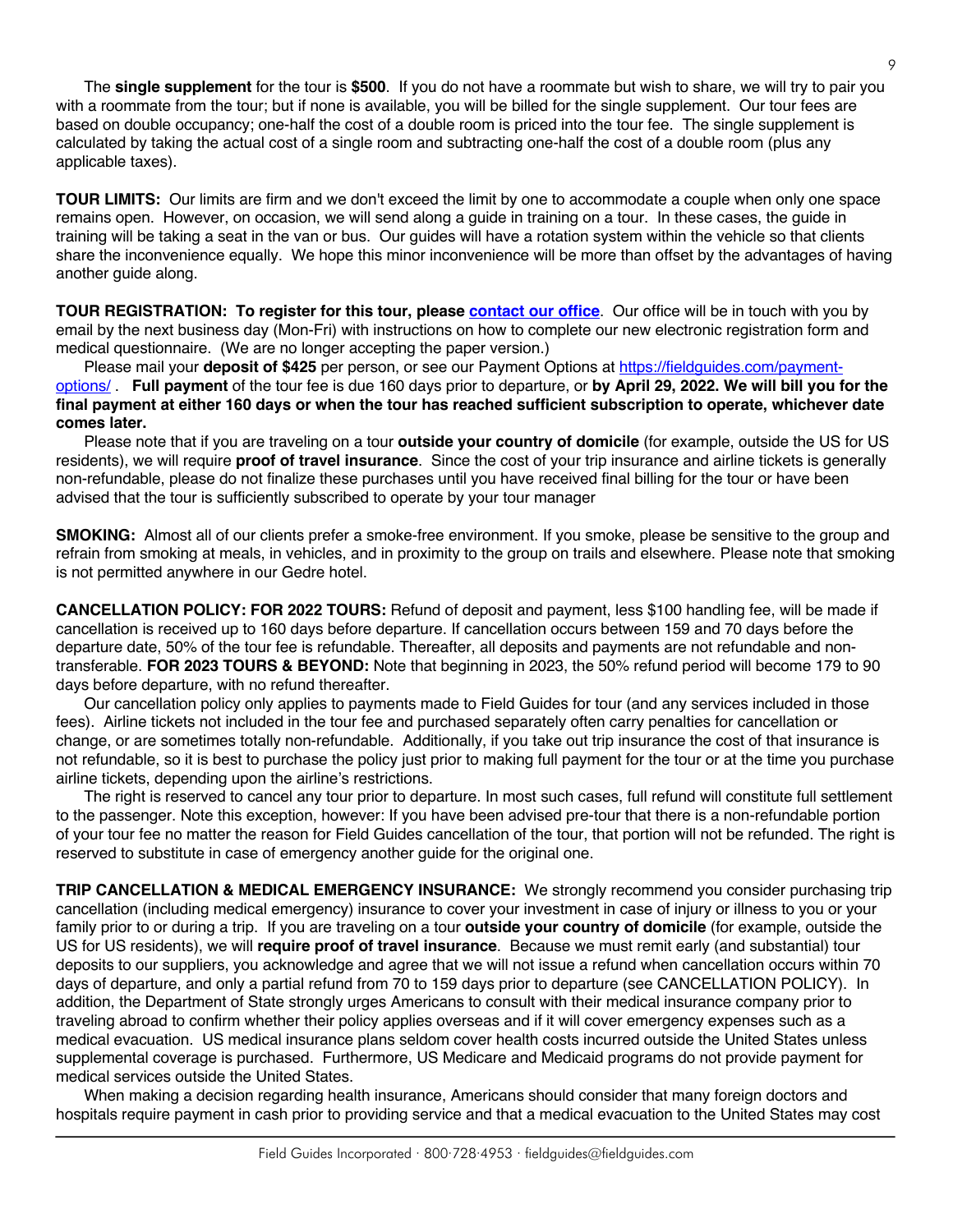The **single supplement** for the tour is **\$500**. If you do not have a roommate but wish to share, we will try to pair you with a roommate from the tour; but if none is available, you will be billed for the single supplement. Our tour fees are based on double occupancy; one-half the cost of a double room is priced into the tour fee. The single supplement is calculated by taking the actual cost of a single room and subtracting one-half the cost of a double room (plus any applicable taxes).

**TOUR LIMITS:** Our limits are firm and we don't exceed the limit by one to accommodate a couple when only one space remains open. However, on occasion, we will send along a guide in training on a tour. In these cases, the guide in training will be taking a seat in the van or bus. Our guides will have a rotation system within the vehicle so that clients share the inconvenience equally. We hope this minor inconvenience will be more than offset by the advantages of having another guide along.

**TOUR REGISTRATION: To register for this tour, please [contact our office](https://fieldguides.com/contact-us/)**. Our office will be in touch with you by email by the next business day (Mon-Fri) with instructions on how to complete our new electronic registration form and medical questionnaire. (We are no longer accepting the paper version.)

Please mail your **deposit of \$425** per person, or see our Payment Options at [https://fieldguides.com/payment](https://fieldguides.com/payment-options/)[options/](https://fieldguides.com/payment-options/) . **Full payment** of the tour fee is due 160 days prior to departure, or **by April 29, 2022. We will bill you for the final payment at either 160 days or when the tour has reached sufficient subscription to operate, whichever date comes later.**

Please note that if you are traveling on a tour **outside your country of domicile** (for example, outside the US for US residents), we will require **proof of travel insurance**. Since the cost of your trip insurance and airline tickets is generally non-refundable, please do not finalize these purchases until you have received final billing for the tour or have been advised that the tour is sufficiently subscribed to operate by your tour manager

**SMOKING:** Almost all of our clients prefer a smoke-free environment. If you smoke, please be sensitive to the group and refrain from smoking at meals, in vehicles, and in proximity to the group on trails and elsewhere. Please note that smoking is not permitted anywhere in our Gedre hotel.

**CANCELLATION POLICY: FOR 2022 TOURS:** Refund of deposit and payment, less \$100 handling fee, will be made if cancellation is received up to 160 days before departure. If cancellation occurs between 159 and 70 days before the departure date, 50% of the tour fee is refundable. Thereafter, all deposits and payments are not refundable and nontransferable. **FOR 2023 TOURS & BEYOND:** Note that beginning in 2023, the 50% refund period will become 179 to 90 days before departure, with no refund thereafter.

Our cancellation policy only applies to payments made to Field Guides for tour (and any services included in those fees). Airline tickets not included in the tour fee and purchased separately often carry penalties for cancellation or change, or are sometimes totally non-refundable. Additionally, if you take out trip insurance the cost of that insurance is not refundable, so it is best to purchase the policy just prior to making full payment for the tour or at the time you purchase airline tickets, depending upon the airline's restrictions.

The right is reserved to cancel any tour prior to departure. In most such cases, full refund will constitute full settlement to the passenger. Note this exception, however: If you have been advised pre-tour that there is a non-refundable portion of your tour fee no matter the reason for Field Guides cancellation of the tour, that portion will not be refunded. The right is reserved to substitute in case of emergency another guide for the original one.

**TRIP CANCELLATION & MEDICAL EMERGENCY INSURANCE:** We strongly recommend you consider purchasing trip cancellation (including medical emergency) insurance to cover your investment in case of injury or illness to you or your family prior to or during a trip. If you are traveling on a tour **outside your country of domicile** (for example, outside the US for US residents), we will **require proof of travel insurance**. Because we must remit early (and substantial) tour deposits to our suppliers, you acknowledge and agree that we will not issue a refund when cancellation occurs within 70 days of departure, and only a partial refund from 70 to 159 days prior to departure (see CANCELLATION POLICY). In addition, the Department of State strongly urges Americans to consult with their medical insurance company prior to traveling abroad to confirm whether their policy applies overseas and if it will cover emergency expenses such as a medical evacuation. US medical insurance plans seldom cover health costs incurred outside the United States unless supplemental coverage is purchased. Furthermore, US Medicare and Medicaid programs do not provide payment for medical services outside the United States.

When making a decision regarding health insurance, Americans should consider that many foreign doctors and hospitals require payment in cash prior to providing service and that a medical evacuation to the United States may cost